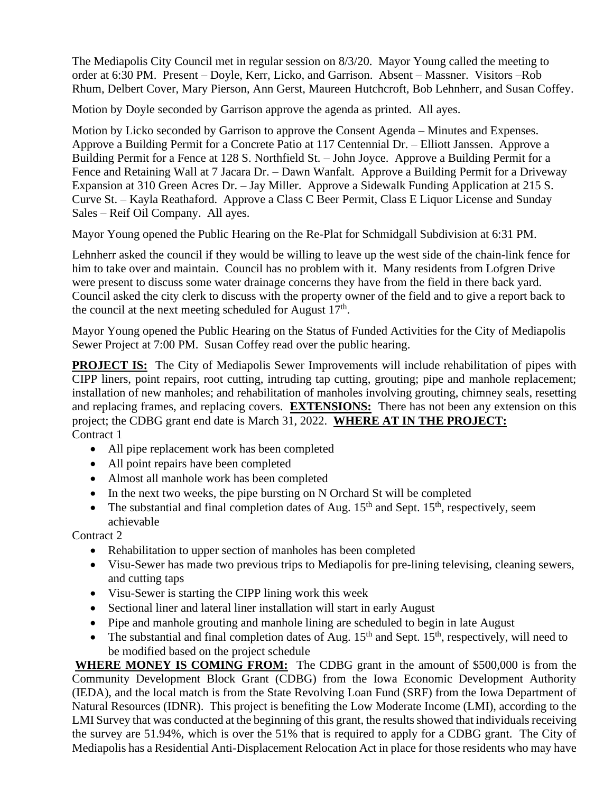The Mediapolis City Council met in regular session on 8/3/20. Mayor Young called the meeting to order at 6:30 PM. Present – Doyle, Kerr, Licko, and Garrison. Absent – Massner. Visitors –Rob Rhum, Delbert Cover, Mary Pierson, Ann Gerst, Maureen Hutchcroft, Bob Lehnherr, and Susan Coffey.

Motion by Doyle seconded by Garrison approve the agenda as printed. All ayes.

Motion by Licko seconded by Garrison to approve the Consent Agenda – Minutes and Expenses. Approve a Building Permit for a Concrete Patio at 117 Centennial Dr. – Elliott Janssen. Approve a Building Permit for a Fence at 128 S. Northfield St. – John Joyce. Approve a Building Permit for a Fence and Retaining Wall at 7 Jacara Dr. – Dawn Wanfalt. Approve a Building Permit for a Driveway Expansion at 310 Green Acres Dr. – Jay Miller. Approve a Sidewalk Funding Application at 215 S. Curve St. – Kayla Reathaford. Approve a Class C Beer Permit, Class E Liquor License and Sunday Sales – Reif Oil Company. All ayes.

Mayor Young opened the Public Hearing on the Re-Plat for Schmidgall Subdivision at 6:31 PM.

Lehnherr asked the council if they would be willing to leave up the west side of the chain-link fence for him to take over and maintain. Council has no problem with it. Many residents from Lofgren Drive were present to discuss some water drainage concerns they have from the field in there back yard. Council asked the city clerk to discuss with the property owner of the field and to give a report back to the council at the next meeting scheduled for August  $17<sup>th</sup>$ .

Mayor Young opened the Public Hearing on the Status of Funded Activities for the City of Mediapolis Sewer Project at 7:00 PM. Susan Coffey read over the public hearing.

**PROJECT IS:** The City of Mediapolis Sewer Improvements will include rehabilitation of pipes with CIPP liners, point repairs, root cutting, intruding tap cutting, grouting; pipe and manhole replacement; installation of new manholes; and rehabilitation of manholes involving grouting, chimney seals, resetting and replacing frames, and replacing covers. **EXTENSIONS:** There has not been any extension on this project; the CDBG grant end date is March 31, 2022. **WHERE AT IN THE PROJECT:** Contract 1

- All pipe replacement work has been completed
- All point repairs have been completed
- Almost all manhole work has been completed
- In the next two weeks, the pipe bursting on N Orchard St will be completed
- The substantial and final completion dates of Aug.  $15<sup>th</sup>$  and Sept.  $15<sup>th</sup>$ , respectively, seem achievable

Contract 2

- Rehabilitation to upper section of manholes has been completed
- Visu-Sewer has made two previous trips to Mediapolis for pre-lining televising, cleaning sewers, and cutting taps
- Visu-Sewer is starting the CIPP lining work this week
- Sectional liner and lateral liner installation will start in early August
- Pipe and manhole grouting and manhole lining are scheduled to begin in late August
- The substantial and final completion dates of Aug.  $15<sup>th</sup>$  and Sept.  $15<sup>th</sup>$ , respectively, will need to be modified based on the project schedule

**WHERE MONEY IS COMING FROM:** The CDBG grant in the amount of \$500,000 is from the Community Development Block Grant (CDBG) from the Iowa Economic Development Authority (IEDA), and the local match is from the State Revolving Loan Fund (SRF) from the Iowa Department of Natural Resources (IDNR). This project is benefiting the Low Moderate Income (LMI), according to the LMI Survey that was conducted at the beginning of this grant, the results showed that individuals receiving the survey are 51.94%, which is over the 51% that is required to apply for a CDBG grant. The City of Mediapolis has a Residential Anti-Displacement Relocation Act in place for those residents who may have